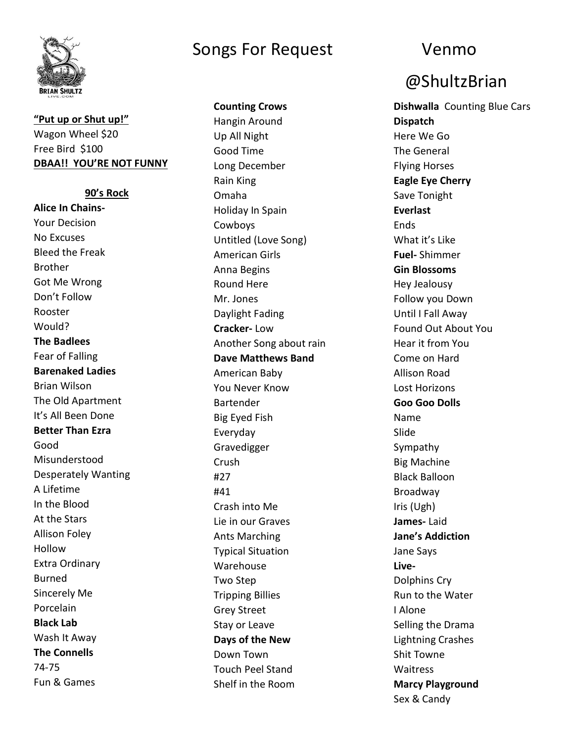

### **"Put up or Shut up!"** Wagon Wheel \$20 Free Bird \$100 **DBAA!! YOU'RE NOT FUNNY**

**90's Rock Alice In Chains-**Your Decision No Excuses Bleed the Freak Brother Got Me Wrong Don't Follow Rooster Would? **The Badlees** Fear of Falling **Barenaked Ladies** Brian Wilson The Old Apartment It's All Been Done **Better Than Ezra** Good Misunderstood Desperately Wanting A Lifetime In the Blood At the Stars Allison Foley Hollow Extra Ordinary Burned Sincerely Me Porcelain **Black Lab** Wash It Away **The Connells** 74-75 Fun & Games

### Songs For Request Venmo

**Counting Crows**

Hangin Around Up All Night Good Time Long December Rain King Omaha Holiday In Spain Cowboys Untitled (Love Song) American Girls Anna Begins Round Here Mr. Jones Daylight Fading **Cracker-** Low Another Song about rain **Dave Matthews Band** American Baby You Never Know Bartender Big Eyed Fish Everyday Gravedigger Crush #27 #41 Crash into Me Lie in our Graves Ants Marching Typical Situation Warehouse Two Step Tripping Billies Grey Street Stay or Leave **Days of the New** Down Town Touch Peel Stand Shelf in the Room

# @ShultzBrian

**Dishwalla** Counting Blue Cars **Dispatch** Here We Go The General Flying Horses **Eagle Eye Cherry** Save Tonight **Everlast Ends** What it's Like **Fuel-** Shimmer **Gin Blossoms** Hey Jealousy Follow you Down Until I Fall Away Found Out About You Hear it from You Come on Hard Allison Road Lost Horizons **Goo Goo Dolls** Name Slide Sympathy Big Machine Black Balloon Broadway Iris (Ugh) **James-** Laid **Jane's Addiction** Jane Says **Live-**Dolphins Cry Run to the Water I Alone Selling the Drama Lightning Crashes Shit Towne Waitress **Marcy Playground** Sex & Candy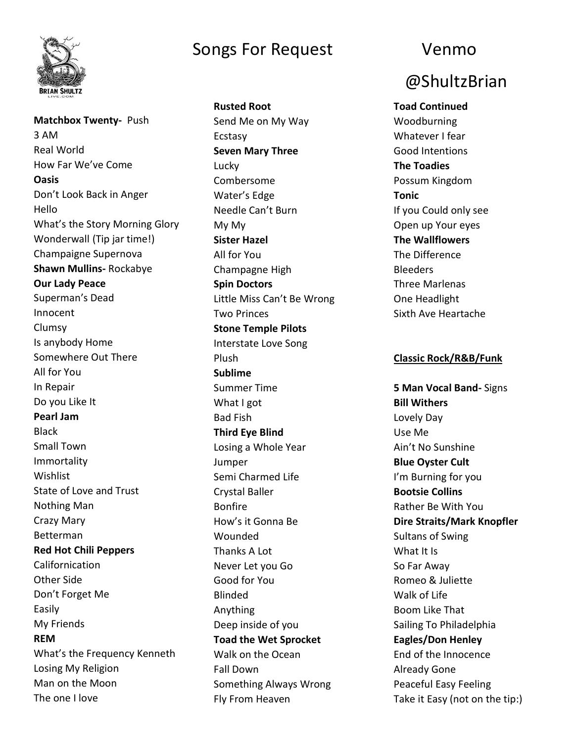

**Matchbox Twenty-** Push 3 AM Real World How Far We've Come **Oasis**  Don't Look Back in Anger Hello What's the Story Morning Glory Wonderwall (Tip jar time!) Champaigne Supernova **Shawn Mullins-** Rockabye **Our Lady Peace** Superman's Dead Innocent Clumsy Is anybody Home Somewhere Out There All for You In Repair Do you Like It **Pearl Jam Black** Small Town Immortality Wishlist State of Love and Trust Nothing Man Crazy Mary Betterman **Red Hot Chili Peppers**  Californication Other Side Don't Forget Me Easily My Friends **REM** What's the Frequency Kenneth Losing My Religion Man on the Moon The one I love

# Songs For Request Venmo

**Rusted Root** Send Me on My Way Ecstasy **Seven Mary Three** Lucky Combersome Water's Edge Needle Can't Burn My My **Sister Hazel** All for You Champagne High **Spin Doctors** Little Miss Can't Be Wrong Two Princes **Stone Temple Pilots** Interstate Love Song Plush **Sublime** Summer Time What I got Bad Fish **Third Eye Blind** Losing a Whole Year Jumper Semi Charmed Life Crystal Baller Bonfire How's it Gonna Be Wounded Thanks A Lot Never Let you Go Good for You Blinded Anything Deep inside of you **Toad the Wet Sprocket** Walk on the Ocean Fall Down Something Always Wrong Fly From Heaven

# @ShultzBrian

**Toad Continued** Woodburning Whatever I fear Good Intentions **The Toadies** Possum Kingdom **Tonic** If you Could only see Open up Your eyes **The Wallflowers** The Difference Bleeders Three Marlenas One Headlight Sixth Ave Heartache

### **Classic Rock/R&B/Funk**

**5 Man Vocal Band-** Signs **Bill Withers** Lovely Day Use Me Ain't No Sunshine **Blue Oyster Cult** I'm Burning for you **Bootsie Collins** Rather Be With You **Dire Straits/Mark Knopfler** Sultans of Swing What It Is So Far Away Romeo & Juliette Walk of Life Boom Like That Sailing To Philadelphia **Eagles/Don Henley** End of the Innocence Already Gone Peaceful Easy Feeling Take it Easy (not on the tip:)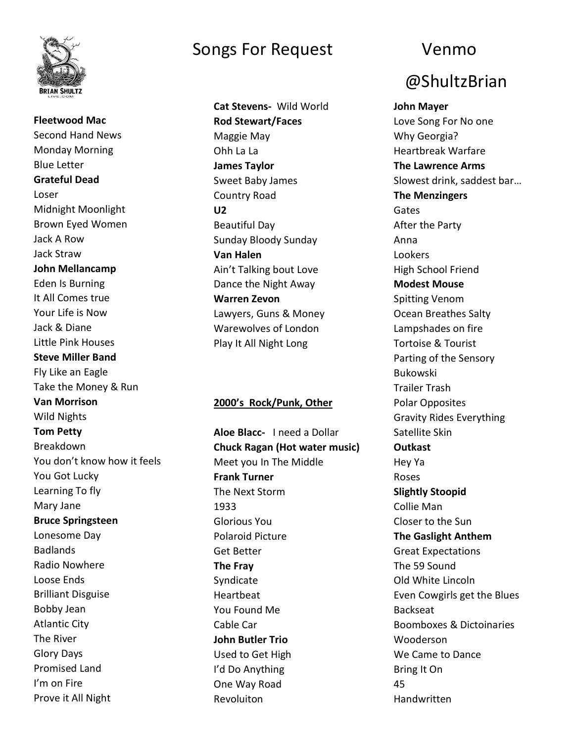

**Fleetwood Mac** Second Hand News Monday Morning Blue Letter **Grateful Dead** Loser Midnight Moonlight Brown Eyed Women Jack A Row Jack Straw **John Mellancamp** Eden Is Burning It All Comes true Your Life is Now Jack & Diane Little Pink Houses **Steve Miller Band** Fly Like an Eagle Take the Money & Run **Van Morrison**  Wild Nights **Tom Petty** Breakdown You don't know how it feels You Got Lucky Learning To fly Mary Jane **Bruce Springsteen** Lonesome Day Badlands Radio Nowhere Loose Ends Brilliant Disguise Bobby Jean Atlantic City The River Glory Days Promised Land I'm on Fire Prove it All Night

### Songs For Request Venmo

**Cat Stevens-** Wild World **Rod Stewart/Faces** Maggie May Ohh La La **James Taylor** Sweet Baby James Country Road **U2** Beautiful Day Sunday Bloody Sunday **Van Halen** Ain't Talking bout Love Dance the Night Away **Warren Zevon** Lawyers, Guns & Money Warewolves of London Play It All Night Long

### **2000's Rock/Punk, Other**

**Aloe Blacc-** I need a Dollar **Chuck Ragan (Hot water music)** Meet you In The Middle **Frank Turner** The Next Storm 1933 Glorious You Polaroid Picture Get Better **The Fray** Syndicate Heartbeat You Found Me Cable Car **John Butler Trio** Used to Get High I'd Do Anything One Way Road Revoluiton

# @ShultzBrian

**John Mayer** Love Song For No one Why Georgia? Heartbreak Warfare **The Lawrence Arms** Slowest drink, saddest bar… **The Menzingers** Gates After the Party Anna Lookers High School Friend **Modest Mouse** Spitting Venom Ocean Breathes Salty Lampshades on fire Tortoise & Tourist Parting of the Sensory Bukowski Trailer Trash Polar Opposites Gravity Rides Everything Satellite Skin **Outkast** Hey Ya Roses **Slightly Stoopid** Collie Man Closer to the Sun **The Gaslight Anthem** Great Expectations The 59 Sound Old White Lincoln Even Cowgirls get the Blues Backseat Boomboxes & Dictoinaries Wooderson We Came to Dance Bring It On 45 Handwritten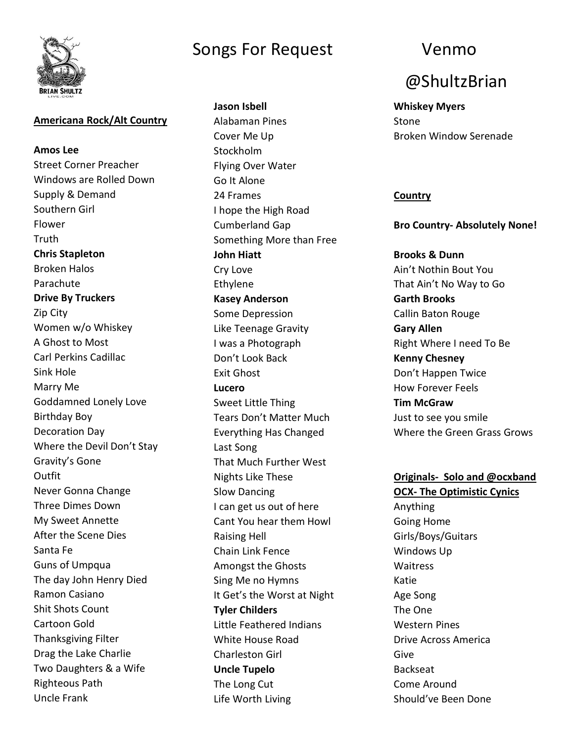

### **Americana Rock/Alt Country**

**Amos Lee** Street Corner Preacher Windows are Rolled Down Supply & Demand Southern Girl Flower **Truth Chris Stapleton** Broken Halos Parachute **Drive By Truckers** Zip City Women w/o Whiskey A Ghost to Most Carl Perkins Cadillac Sink Hole Marry Me Goddamned Lonely Love Birthday Boy Decoration Day Where the Devil Don't Stay Gravity's Gone Outfit Never Gonna Change Three Dimes Down My Sweet Annette After the Scene Dies Santa Fe Guns of Umpqua The day John Henry Died Ramon Casiano Shit Shots Count Cartoon Gold Thanksgiving Filter Drag the Lake Charlie Two Daughters & a Wife Righteous Path Uncle Frank

# Songs For Request Venmo

**Jason Isbell** Alabaman Pines Cover Me Up **Stockholm** Flying Over Water Go It Alone 24 Frames I hope the High Road Cumberland Gap Something More than Free **John Hiatt** Cry Love Ethylene **Kasey Anderson** Some Depression Like Teenage Gravity I was a Photograph Don't Look Back Exit Ghost **Lucero** Sweet Little Thing Tears Don't Matter Much Everything Has Changed Last Song That Much Further West Nights Like These Slow Dancing I can get us out of here Cant You hear them Howl Raising Hell Chain Link Fence Amongst the Ghosts Sing Me no Hymns It Get's the Worst at Night **Tyler Childers** Little Feathered Indians White House Road Charleston Girl **Uncle Tupelo** The Long Cut Life Worth Living

# @ShultzBrian

**Whiskey Myers** Stone Broken Window Serenade

### **Country**

**Bro Country- Absolutely None!**

**Brooks & Dunn** Ain't Nothin Bout You That Ain't No Way to Go **Garth Brooks** Callin Baton Rouge **Gary Allen** Right Where I need To Be **Kenny Chesney** Don't Happen Twice How Forever Feels **Tim McGraw** Just to see you smile Where the Green Grass Grows

### **Originals- Solo and @ocxband**

**OCX- The Optimistic Cynics** Anything Going Home Girls/Boys/Guitars Windows Up Waitress Katie Age Song The One Western Pines Drive Across America Give Backseat Come Around Should've Been Done